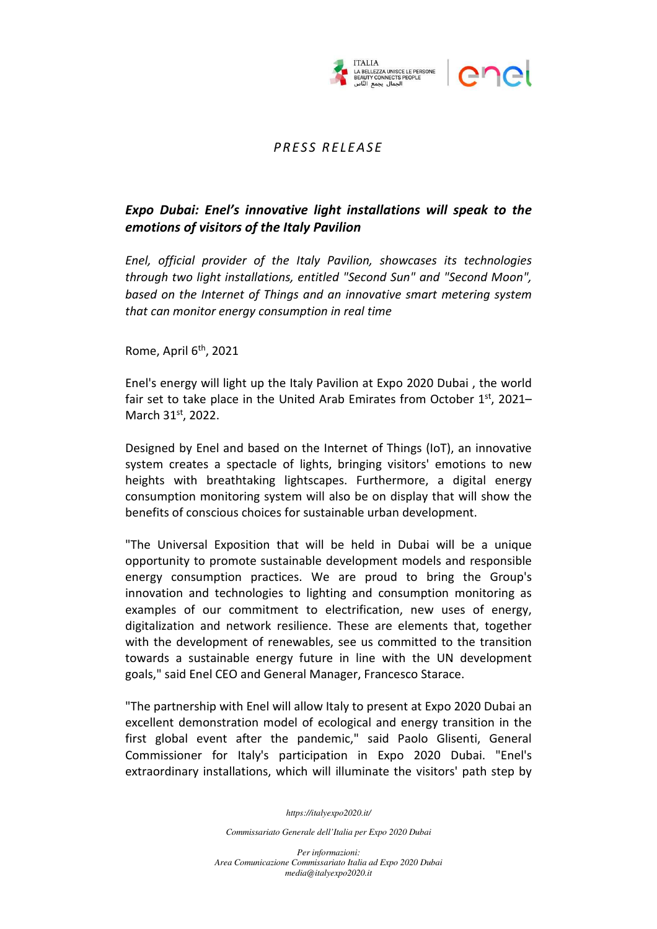

## *P R E S S R E LE A S E*

## *Expo Dubai: Enel's innovative light installations will speak to the emotions of visitors of the Italy Pavilion*

*Enel, official provider of the Italy Pavilion, showcases its technologies through two light installations, entitled "Second Sun" and "Second Moon", based on the Internet of Things and an innovative smart metering system that can monitor energy consumption in real time* 

Rome, April 6<sup>th</sup>, 2021

Enel's energy will light up the Italy Pavilion at Expo 2020 Dubai , the world fair set to take place in the United Arab Emirates from October  $1<sup>st</sup>$ , 2021– March 31st, 2022.

Designed by Enel and based on the Internet of Things (IoT), an innovative system creates a spectacle of lights, bringing visitors' emotions to new heights with breathtaking lightscapes. Furthermore, a digital energy consumption monitoring system will also be on display that will show the benefits of conscious choices for sustainable urban development.

"The Universal Exposition that will be held in Dubai will be a unique opportunity to promote sustainable development models and responsible energy consumption practices. We are proud to bring the Group's innovation and technologies to lighting and consumption monitoring as examples of our commitment to electrification, new uses of energy, digitalization and network resilience. These are elements that, together with the development of renewables, see us committed to the transition towards a sustainable energy future in line with the UN development goals," said Enel CEO and General Manager, Francesco Starace.

"The partnership with Enel will allow Italy to present at Expo 2020 Dubai an excellent demonstration model of ecological and energy transition in the first global event after the pandemic," said Paolo Glisenti, General Commissioner for Italy's participation in Expo 2020 Dubai. "Enel's extraordinary installations, which will illuminate the visitors' path step by

*https://italyexpo2020.it/* 

*Commissariato Generale dell'Italia per Expo 2020 Dubai* 

*Per informazioni: Area Comunicazione Commissariato Italia ad Expo 2020 Dubai media@italyexpo2020.it*